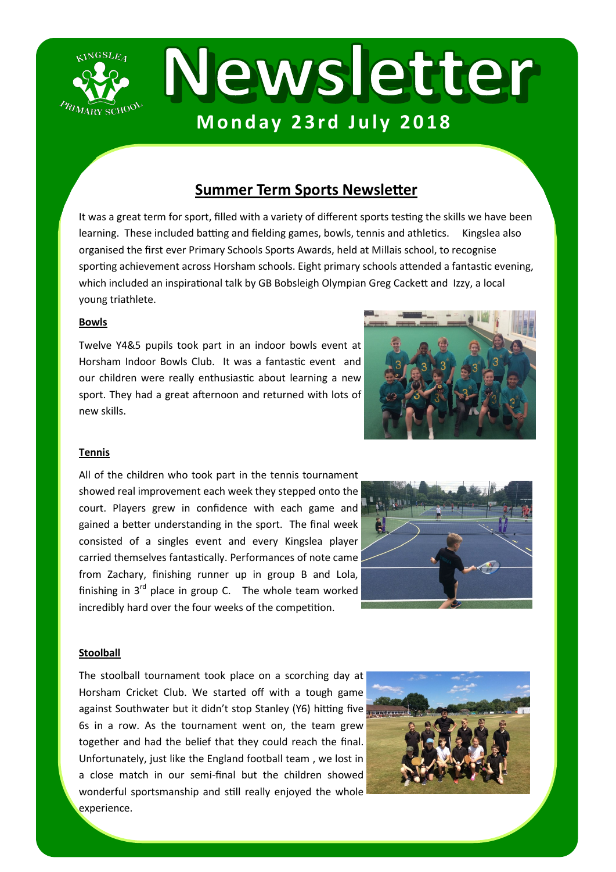

# **Summer Term Sports Newsletter**

It was a great term for sport, filled with a variety of different sports testing the skills we have been learning. These included batting and fielding games, bowls, tennis and athletics. Kingslea also organised the first ever Primary Schools Sports Awards, held at Millais school, to recognise sporting achievement across Horsham schools. Eight primary schools attended a fantastic evening, which included an inspirational talk by GB Bobsleigh Olympian Greg Cackett and Izzy, a local young triathlete.

#### **Bowls**

Twelve Y4&5 pupils took part in an indoor bowls event at Horsham Indoor Bowls Club. It was a fantastic event and our children were really enthusiastic about learning a new sport. They had a great afternoon and returned with lots of new skills.



#### **Tennis**

All of the children who took part in the tennis tournament showed real improvement each week they stepped onto the court. Players grew in confidence with each game and gained a better understanding in the sport. The final week consisted of a singles event and every Kingslea player carried themselves fantastically. Performances of note came from Zachary, finishing runner up in group B and Lola, finishing in  $3^{rd}$  place in group C. The whole team worked incredibly hard over the four weeks of the competition.



#### **Stoolball**

The stoolball tournament took place on a scorching day at Horsham Cricket Club. We started off with a tough game against Southwater but it didn't stop Stanley (Y6) hitting five 6s in a row. As the tournament went on, the team grew together and had the belief that they could reach the final. Unfortunately, just like the England football team , we lost in a close match in our semi-final but the children showed wonderful sportsmanship and still really enjoyed the whole experience.